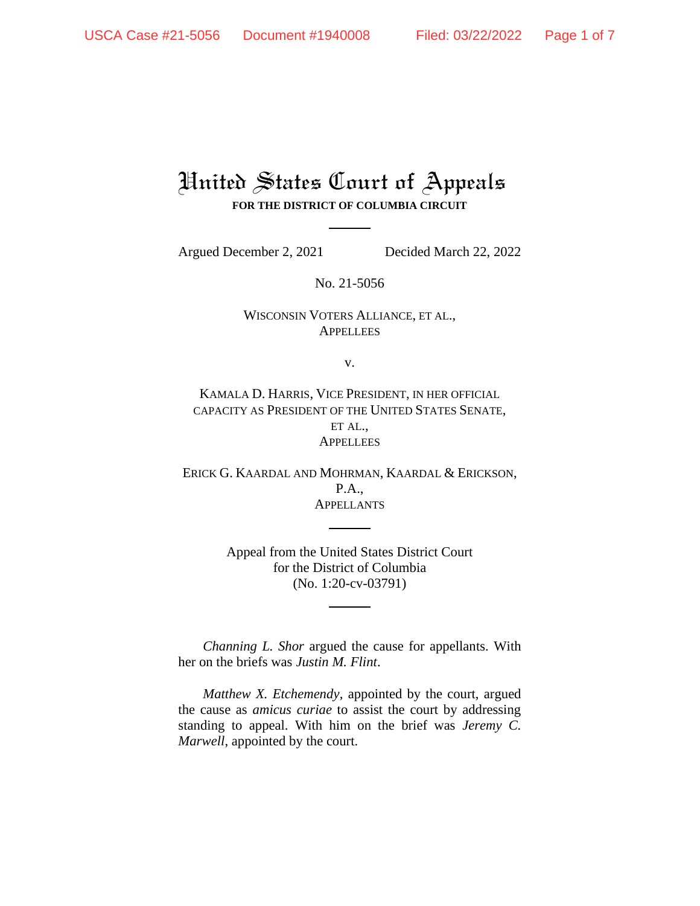## United States Court of Appeals **FOR THE DISTRICT OF COLUMBIA CIRCUIT**

Argued December 2, 2021 Decided March 22, 2022

No. 21-5056

WISCONSIN VOTERS ALLIANCE, ET AL., **APPELLEES** 

v.

KAMALA D. HARRIS, VICE PRESIDENT, IN HER OFFICIAL CAPACITY AS PRESIDENT OF THE UNITED STATES SENATE, ET AL., **APPELLEES** 

ERICK G. KAARDAL AND MOHRMAN, KAARDAL & ERICKSON, P.A., **APPELLANTS** 

> Appeal from the United States District Court for the District of Columbia (No. 1:20-cv-03791)

*Channing L. Shor* argued the cause for appellants. With her on the briefs was *Justin M. Flint*.

*Matthew X. Etchemendy*, appointed by the court, argued the cause as *amicus curiae* to assist the court by addressing standing to appeal. With him on the brief was *Jeremy C. Marwell*, appointed by the court.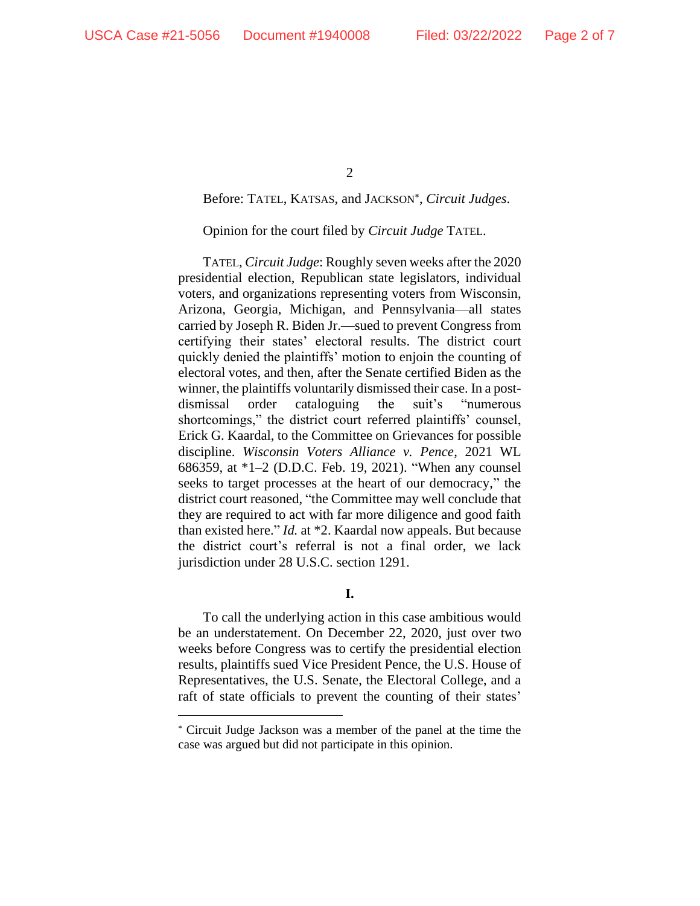## Before: TATEL, KATSAS, and JACKSON , *Circuit Judges*.

## Opinion for the court filed by *Circuit Judge* TATEL.

TATEL, *Circuit Judge*: Roughly seven weeks after the 2020 presidential election, Republican state legislators, individual voters, and organizations representing voters from Wisconsin, Arizona, Georgia, Michigan, and Pennsylvania—all states carried by Joseph R. Biden Jr.—sued to prevent Congress from certifying their states' electoral results. The district court quickly denied the plaintiffs' motion to enjoin the counting of electoral votes, and then, after the Senate certified Biden as the winner, the plaintiffs voluntarily dismissed their case. In a postdismissal order cataloguing the suit's "numerous shortcomings," the district court referred plaintiffs' counsel, Erick G. Kaardal, to the Committee on Grievances for possible discipline. *Wisconsin Voters Alliance v. Pence*, 2021 WL 686359, at \*1–2 (D.D.C. Feb. 19, 2021). "When any counsel seeks to target processes at the heart of our democracy," the district court reasoned, "the Committee may well conclude that they are required to act with far more diligence and good faith than existed here." *Id.* at \*2. Kaardal now appeals. But because the district court's referral is not a final order, we lack jurisdiction under 28 U.S.C. section 1291.

**I.**

To call the underlying action in this case ambitious would be an understatement. On December 22, 2020, just over two weeks before Congress was to certify the presidential election results, plaintiffs sued Vice President Pence, the U.S. House of Representatives, the U.S. Senate, the Electoral College, and a raft of state officials to prevent the counting of their states'

Circuit Judge Jackson was a member of the panel at the time the case was argued but did not participate in this opinion.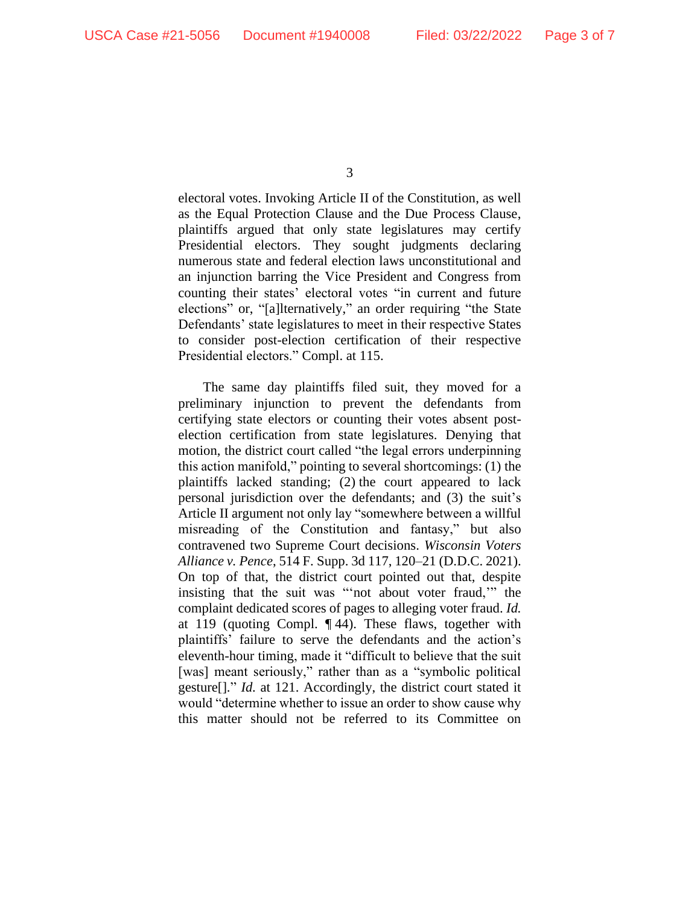electoral votes. Invoking Article II of the Constitution, as well as the Equal Protection Clause and the Due Process Clause, plaintiffs argued that only state legislatures may certify Presidential electors. They sought judgments declaring numerous state and federal election laws unconstitutional and an injunction barring the Vice President and Congress from counting their states' electoral votes "in current and future elections" or, "[a]lternatively," an order requiring "the State Defendants' state legislatures to meet in their respective States to consider post-election certification of their respective Presidential electors." Compl. at 115.

The same day plaintiffs filed suit, they moved for a preliminary injunction to prevent the defendants from certifying state electors or counting their votes absent postelection certification from state legislatures. Denying that motion, the district court called "the legal errors underpinning this action manifold," pointing to several shortcomings: (1) the plaintiffs lacked standing; (2) the court appeared to lack personal jurisdiction over the defendants; and (3) the suit's Article II argument not only lay "somewhere between a willful misreading of the Constitution and fantasy," but also contravened two Supreme Court decisions. *Wisconsin Voters Alliance v. Pence*, 514 F. Supp. 3d 117, 120–21 (D.D.C. 2021). On top of that, the district court pointed out that, despite insisting that the suit was "'not about voter fraud,'" the complaint dedicated scores of pages to alleging voter fraud. *Id.*  at 119 (quoting Compl. ¶ 44). These flaws, together with plaintiffs' failure to serve the defendants and the action's eleventh-hour timing, made it "difficult to believe that the suit [was] meant seriously," rather than as a "symbolic political gesture[]." *Id.* at 121. Accordingly, the district court stated it would "determine whether to issue an order to show cause why this matter should not be referred to its Committee on

<sup>3</sup>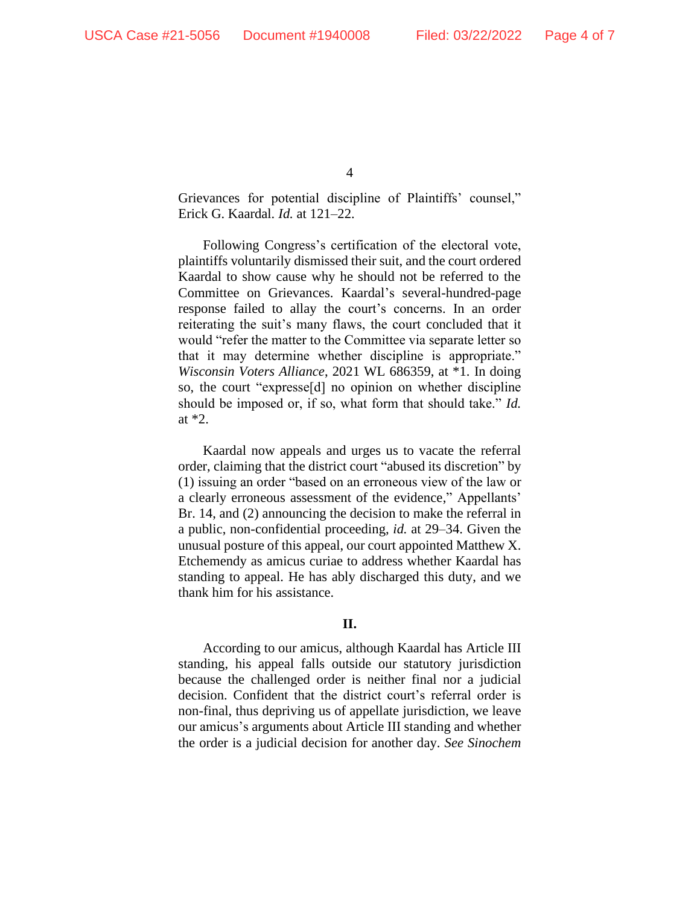Grievances for potential discipline of Plaintiffs' counsel," Erick G. Kaardal. *Id.* at 121–22.

Following Congress's certification of the electoral vote, plaintiffs voluntarily dismissed their suit, and the court ordered Kaardal to show cause why he should not be referred to the Committee on Grievances. Kaardal's several-hundred-page response failed to allay the court's concerns. In an order reiterating the suit's many flaws, the court concluded that it would "refer the matter to the Committee via separate letter so that it may determine whether discipline is appropriate." *Wisconsin Voters Alliance*, 2021 WL 686359, at \*1. In doing so, the court "expresse[d] no opinion on whether discipline should be imposed or, if so, what form that should take." *Id.* at \*2.

Kaardal now appeals and urges us to vacate the referral order, claiming that the district court "abused its discretion" by (1) issuing an order "based on an erroneous view of the law or a clearly erroneous assessment of the evidence," Appellants' Br. 14, and (2) announcing the decision to make the referral in a public, non-confidential proceeding, *id.* at 29–34. Given the unusual posture of this appeal, our court appointed Matthew X. Etchemendy as amicus curiae to address whether Kaardal has standing to appeal. He has ably discharged this duty, and we thank him for his assistance.

## **II.**

According to our amicus, although Kaardal has Article III standing, his appeal falls outside our statutory jurisdiction because the challenged order is neither final nor a judicial decision. Confident that the district court's referral order is non-final, thus depriving us of appellate jurisdiction, we leave our amicus's arguments about Article III standing and whether the order is a judicial decision for another day. *See Sinochem*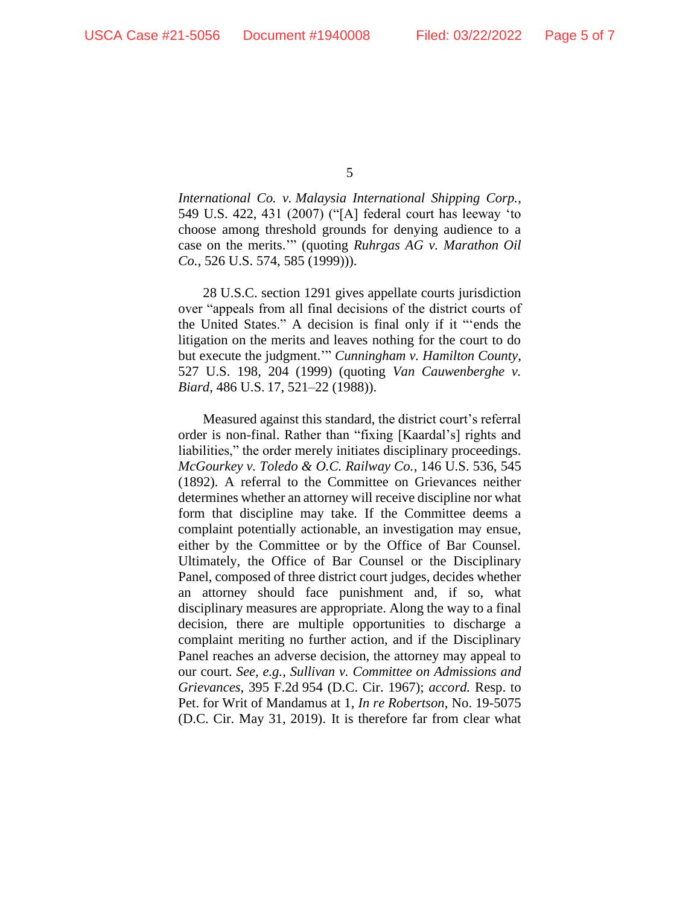*International Co. v. Malaysia International Shipping Corp.*, 549 U.S. 422, 431 (2007) ("[A] federal court has leeway 'to choose among threshold grounds for denying audience to a case on the merits.'" (quoting *Ruhrgas AG v. Marathon Oil Co.*, 526 U.S. 574, 585 (1999))).

28 U.S.C. section 1291 gives appellate courts jurisdiction over "appeals from all final decisions of the district courts of the United States." A decision is final only if it "'ends the litigation on the merits and leaves nothing for the court to do but execute the judgment.'" *Cunningham v. Hamilton County*, 527 U.S. 198, 204 (1999) (quoting *Van Cauwenberghe v. Biard*, 486 U.S. 17, 521–22 (1988)).

Measured against this standard, the district court's referral order is non-final. Rather than "fixing [Kaardal's] rights and liabilities," the order merely initiates disciplinary proceedings. *McGourkey v. Toledo & O.C. Railway Co.*, 146 U.S. 536, 545 (1892). A referral to the Committee on Grievances neither determines whether an attorney will receive discipline nor what form that discipline may take. If the Committee deems a complaint potentially actionable, an investigation may ensue, either by the Committee or by the Office of Bar Counsel. Ultimately, the Office of Bar Counsel or the Disciplinary Panel, composed of three district court judges, decides whether an attorney should face punishment and, if so, what disciplinary measures are appropriate. Along the way to a final decision, there are multiple opportunities to discharge a complaint meriting no further action, and if the Disciplinary Panel reaches an adverse decision, the attorney may appeal to our court. *See, e.g.*, *Sullivan v. Committee on Admissions and Grievances*, 395 F.2d 954 (D.C. Cir. 1967); *accord.* Resp. to Pet. for Writ of Mandamus at 1, *In re Robertson*, No. 19-5075 (D.C. Cir. May 31, 2019). It is therefore far from clear what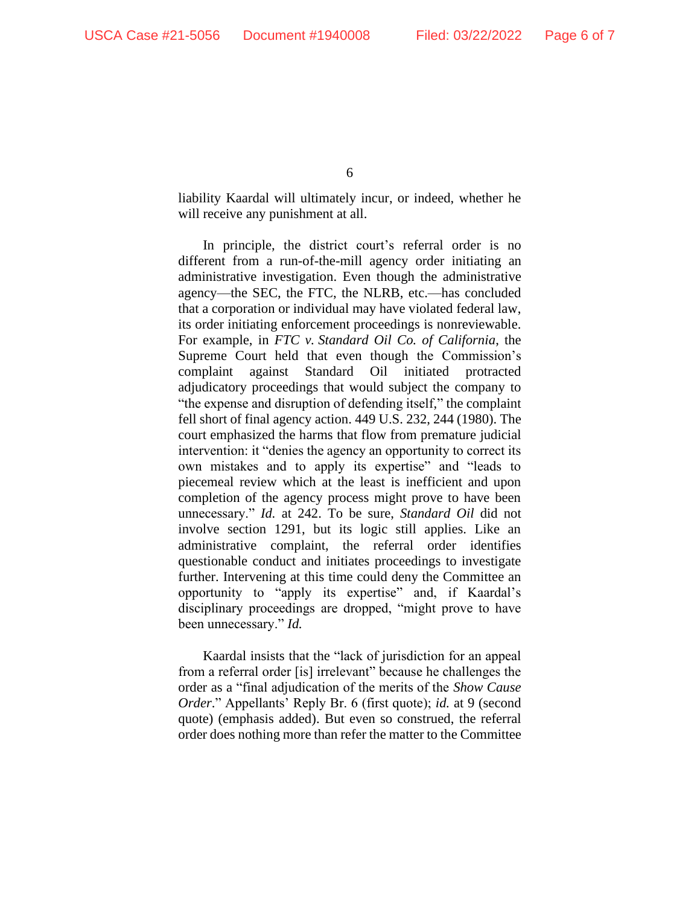liability Kaardal will ultimately incur, or indeed, whether he will receive any punishment at all.

In principle, the district court's referral order is no different from a run-of-the-mill agency order initiating an administrative investigation. Even though the administrative agency—the SEC, the FTC, the NLRB, etc.—has concluded that a corporation or individual may have violated federal law, its order initiating enforcement proceedings is nonreviewable. For example, in *FTC v. Standard Oil Co. of California*, the Supreme Court held that even though the Commission's complaint against Standard Oil initiated protracted adjudicatory proceedings that would subject the company to "the expense and disruption of defending itself," the complaint fell short of final agency action. 449 U.S. 232, 244 (1980). The court emphasized the harms that flow from premature judicial intervention: it "denies the agency an opportunity to correct its own mistakes and to apply its expertise" and "leads to piecemeal review which at the least is inefficient and upon completion of the agency process might prove to have been unnecessary." *Id.* at 242. To be sure, *Standard Oil* did not involve section 1291, but its logic still applies. Like an administrative complaint, the referral order identifies questionable conduct and initiates proceedings to investigate further. Intervening at this time could deny the Committee an opportunity to "apply its expertise" and, if Kaardal's disciplinary proceedings are dropped, "might prove to have been unnecessary." *Id.*

Kaardal insists that the "lack of jurisdiction for an appeal from a referral order [is] irrelevant" because he challenges the order as a "final adjudication of the merits of the *Show Cause Order*." Appellants' Reply Br. 6 (first quote); *id.* at 9 (second quote) (emphasis added). But even so construed, the referral order does nothing more than refer the matter to the Committee